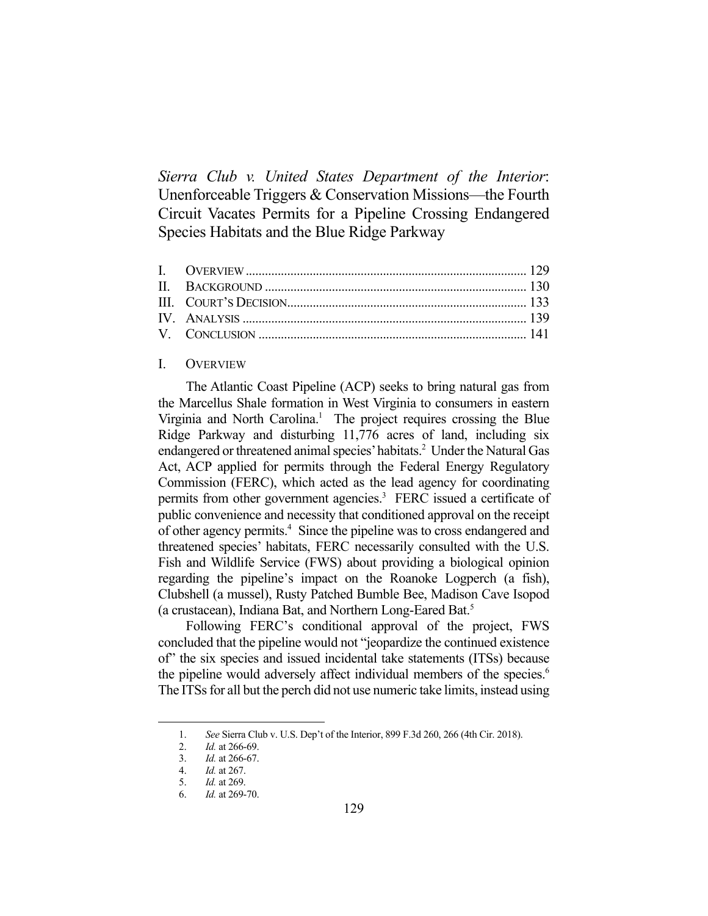*Sierra Club v. United States Department of the Interior*: Unenforceable Triggers & Conservation Missions—the Fourth Circuit Vacates Permits for a Pipeline Crossing Endangered Species Habitats and the Blue Ridge Parkway

## I. OVERVIEW

 The Atlantic Coast Pipeline (ACP) seeks to bring natural gas from the Marcellus Shale formation in West Virginia to consumers in eastern Virginia and North Carolina.<sup>1</sup> The project requires crossing the Blue Ridge Parkway and disturbing 11,776 acres of land, including six endangered or threatened animal species' habitats.<sup>2</sup> Under the Natural Gas Act, ACP applied for permits through the Federal Energy Regulatory Commission (FERC), which acted as the lead agency for coordinating permits from other government agencies.<sup>3</sup> FERC issued a certificate of public convenience and necessity that conditioned approval on the receipt of other agency permits.<sup>4</sup> Since the pipeline was to cross endangered and threatened species' habitats, FERC necessarily consulted with the U.S. Fish and Wildlife Service (FWS) about providing a biological opinion regarding the pipeline's impact on the Roanoke Logperch (a fish), Clubshell (a mussel), Rusty Patched Bumble Bee, Madison Cave Isopod (a crustacean), Indiana Bat, and Northern Long-Eared Bat.<sup>5</sup>

 Following FERC's conditional approval of the project, FWS concluded that the pipeline would not "jeopardize the continued existence of" the six species and issued incidental take statements (ITSs) because the pipeline would adversely affect individual members of the species.<sup>6</sup> The ITSs for all but the perch did not use numeric take limits, instead using

 <sup>1.</sup> *See* Sierra Club v. U.S. Dep't of the Interior, 899 F.3d 260, 266 (4th Cir. 2018).

 <sup>2.</sup> *Id.* at 266-69.

 <sup>3.</sup> *Id.* at 266-67.

 <sup>4.</sup> *Id.* at 267.

 <sup>5.</sup> *Id.* at 269.

 <sup>6.</sup> *Id.* at 269-70.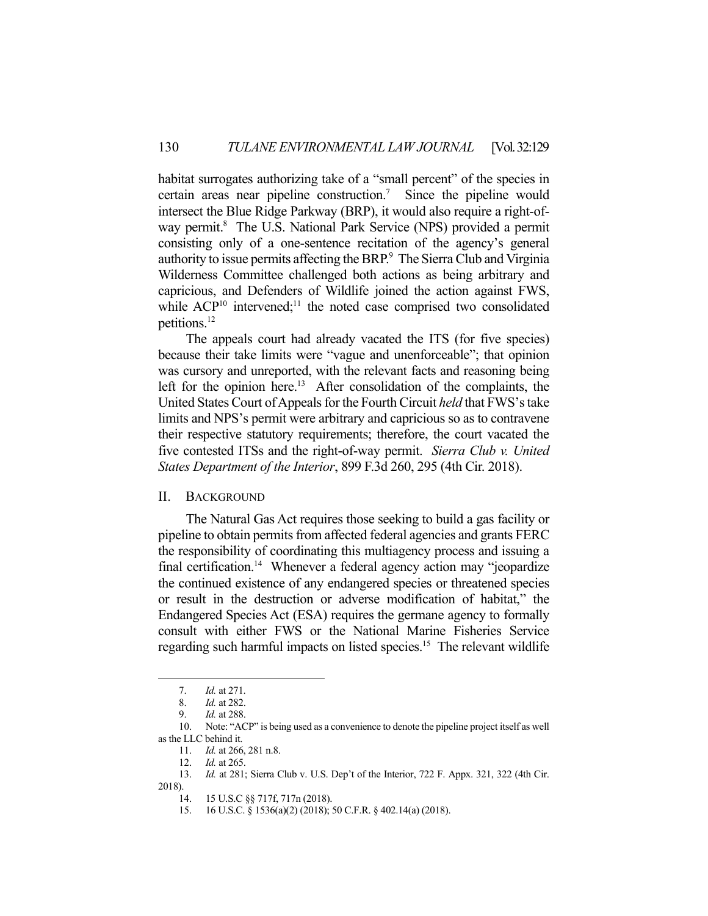habitat surrogates authorizing take of a "small percent" of the species in certain areas near pipeline construction.<sup>7</sup> Since the pipeline would intersect the Blue Ridge Parkway (BRP), it would also require a right-ofway permit.<sup>8</sup> The U.S. National Park Service (NPS) provided a permit consisting only of a one-sentence recitation of the agency's general authority to issue permits affecting the BRP.<sup>9</sup> The Sierra Club and Virginia Wilderness Committee challenged both actions as being arbitrary and capricious, and Defenders of Wildlife joined the action against FWS, while  ${ACP}^{10}$  intervened;<sup>11</sup> the noted case comprised two consolidated petitions.12

 The appeals court had already vacated the ITS (for five species) because their take limits were "vague and unenforceable"; that opinion was cursory and unreported, with the relevant facts and reasoning being left for the opinion here.<sup>13</sup> After consolidation of the complaints, the United States Court of Appeals for the Fourth Circuit *held* that FWS's take limits and NPS's permit were arbitrary and capricious so as to contravene their respective statutory requirements; therefore, the court vacated the five contested ITSs and the right-of-way permit. *Sierra Club v. United States Department of the Interior*, 899 F.3d 260, 295 (4th Cir. 2018).

#### II. BACKGROUND

 The Natural Gas Act requires those seeking to build a gas facility or pipeline to obtain permits from affected federal agencies and grants FERC the responsibility of coordinating this multiagency process and issuing a final certification.<sup>14</sup> Whenever a federal agency action may "jeopardize the continued existence of any endangered species or threatened species or result in the destruction or adverse modification of habitat," the Endangered Species Act (ESA) requires the germane agency to formally consult with either FWS or the National Marine Fisheries Service regarding such harmful impacts on listed species.<sup>15</sup> The relevant wildlife

 <sup>7.</sup> *Id.* at 271.

 <sup>8.</sup> *Id.* at 282.

 <sup>9.</sup> *Id.* at 288.

 <sup>10.</sup> Note: "ACP" is being used as a convenience to denote the pipeline project itself as well as the LLC behind it.

 <sup>11.</sup> *Id.* at 266, 281 n.8.

 <sup>12.</sup> *Id.* at 265.

 <sup>13.</sup> *Id.* at 281; Sierra Club v. U.S. Dep't of the Interior, 722 F. Appx. 321, 322 (4th Cir. 2018).

 <sup>14. 15</sup> U.S.C §§ 717f, 717n (2018).

 <sup>15. 16</sup> U.S.C. § 1536(a)(2) (2018); 50 C.F.R. § 402.14(a) (2018).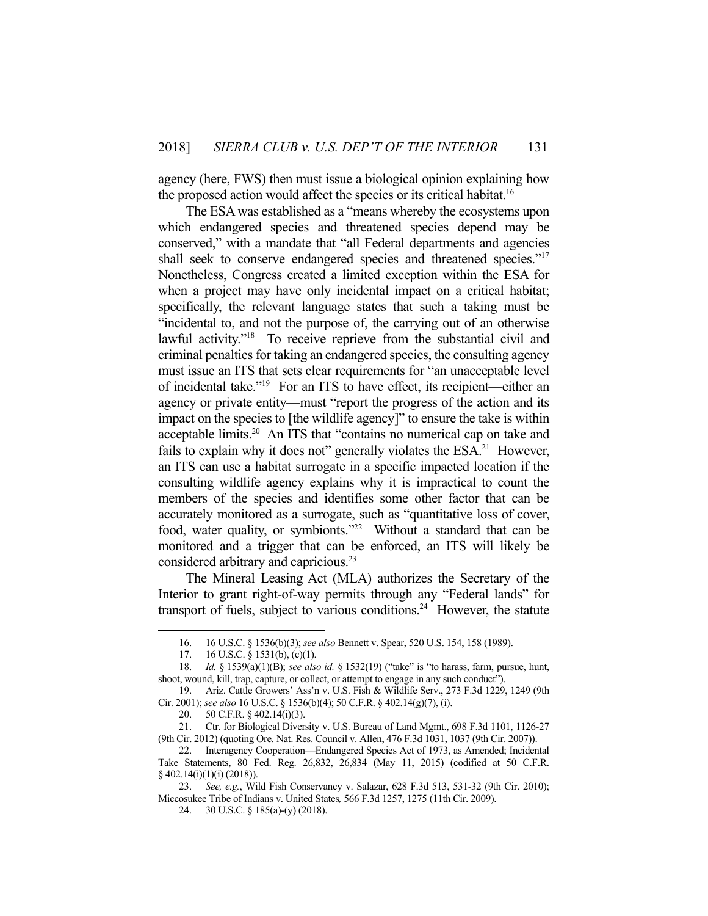agency (here, FWS) then must issue a biological opinion explaining how the proposed action would affect the species or its critical habitat.<sup>16</sup>

 The ESA was established as a "means whereby the ecosystems upon which endangered species and threatened species depend may be conserved," with a mandate that "all Federal departments and agencies shall seek to conserve endangered species and threatened species."<sup>17</sup> Nonetheless, Congress created a limited exception within the ESA for when a project may have only incidental impact on a critical habitat; specifically, the relevant language states that such a taking must be "incidental to, and not the purpose of, the carrying out of an otherwise lawful activity."<sup>18</sup> To receive reprieve from the substantial civil and criminal penalties for taking an endangered species, the consulting agency must issue an ITS that sets clear requirements for "an unacceptable level of incidental take."19 For an ITS to have effect, its recipient—either an agency or private entity—must "report the progress of the action and its impact on the species to [the wildlife agency]" to ensure the take is within acceptable limits.<sup>20</sup> An ITS that "contains no numerical cap on take and fails to explain why it does not" generally violates the  $ESA<sup>21</sup>$  However, an ITS can use a habitat surrogate in a specific impacted location if the consulting wildlife agency explains why it is impractical to count the members of the species and identifies some other factor that can be accurately monitored as a surrogate, such as "quantitative loss of cover, food, water quality, or symbionts."<sup>22</sup> Without a standard that can be monitored and a trigger that can be enforced, an ITS will likely be considered arbitrary and capricious.23

 The Mineral Leasing Act (MLA) authorizes the Secretary of the Interior to grant right-of-way permits through any "Federal lands" for transport of fuels, subject to various conditions.<sup>24</sup> However, the statute

<u>.</u>

 <sup>16. 16</sup> U.S.C. § 1536(b)(3); *see also* Bennett v. Spear, 520 U.S. 154, 158 (1989).

 <sup>17. 16</sup> U.S.C. § 1531(b), (c)(1).

 <sup>18.</sup> *Id.* § 1539(a)(1)(B); *see also id.* § 1532(19) ("take" is "to harass, farm, pursue, hunt, shoot, wound, kill, trap, capture, or collect, or attempt to engage in any such conduct").

 <sup>19.</sup> Ariz. Cattle Growers' Ass'n v. U.S. Fish & Wildlife Serv., 273 F.3d 1229, 1249 (9th Cir. 2001); *see also* 16 U.S.C. § 1536(b)(4); 50 C.F.R. § 402.14(g)(7), (i).

 <sup>20. 50</sup> C.F.R. § 402.14(i)(3).

 <sup>21.</sup> Ctr. for Biological Diversity v. U.S. Bureau of Land Mgmt., 698 F.3d 1101, 1126-27 (9th Cir. 2012) (quoting Ore. Nat. Res. Council v. Allen, 476 F.3d 1031, 1037 (9th Cir. 2007)).

 <sup>22.</sup> Interagency Cooperation—Endangered Species Act of 1973, as Amended; Incidental Take Statements, 80 Fed. Reg. 26,832, 26,834 (May 11, 2015) (codified at 50 C.F.R. § 402.14(i)(1)(i) (2018)).

 <sup>23.</sup> *See, e.g.*, Wild Fish Conservancy v. Salazar, 628 F.3d 513, 531-32 (9th Cir. 2010); Miccosukee Tribe of Indians v. United States*,* 566 F.3d 1257, 1275 (11th Cir. 2009).

 <sup>24. 30</sup> U.S.C. § 185(a)-(y) (2018).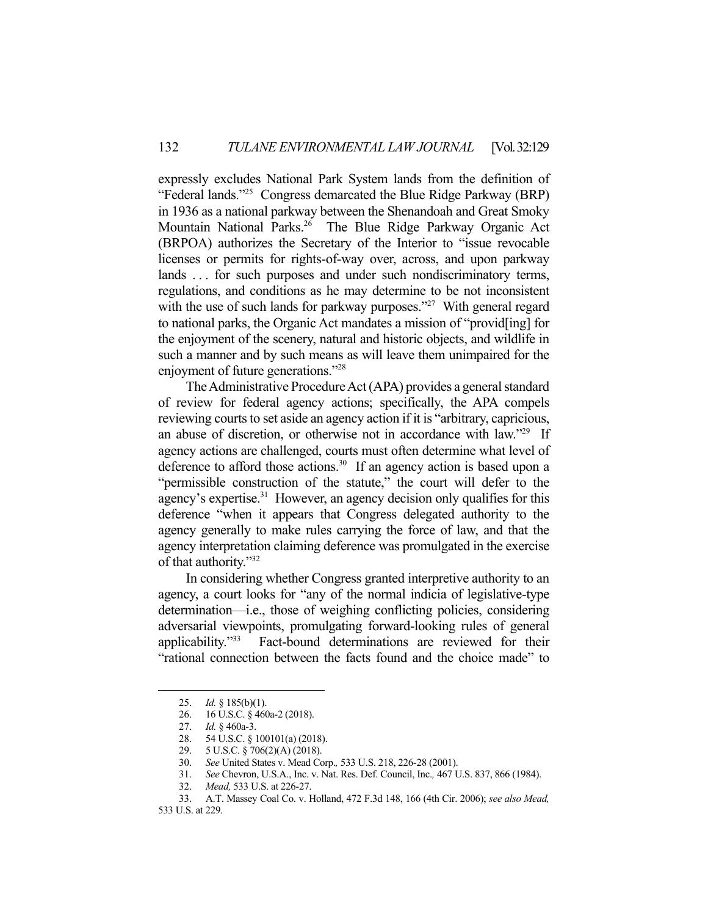expressly excludes National Park System lands from the definition of "Federal lands."25 Congress demarcated the Blue Ridge Parkway (BRP) in 1936 as a national parkway between the Shenandoah and Great Smoky Mountain National Parks.26 The Blue Ridge Parkway Organic Act (BRPOA) authorizes the Secretary of the Interior to "issue revocable licenses or permits for rights-of-way over, across, and upon parkway lands ... for such purposes and under such nondiscriminatory terms, regulations, and conditions as he may determine to be not inconsistent with the use of such lands for parkway purposes."<sup>27</sup> With general regard to national parks, the Organic Act mandates a mission of "provid[ing] for the enjoyment of the scenery, natural and historic objects, and wildlife in such a manner and by such means as will leave them unimpaired for the enjoyment of future generations."<sup>28</sup>

 The Administrative Procedure Act (APA) provides a general standard of review for federal agency actions; specifically, the APA compels reviewing courts to set aside an agency action if it is "arbitrary, capricious, an abuse of discretion, or otherwise not in accordance with law."<sup>29</sup> If agency actions are challenged, courts must often determine what level of deference to afford those actions.<sup>30</sup> If an agency action is based upon a "permissible construction of the statute," the court will defer to the agency's expertise.<sup>31</sup> However, an agency decision only qualifies for this deference "when it appears that Congress delegated authority to the agency generally to make rules carrying the force of law, and that the agency interpretation claiming deference was promulgated in the exercise of that authority."32

 In considering whether Congress granted interpretive authority to an agency, a court looks for "any of the normal indicia of legislative-type determination—i.e., those of weighing conflicting policies, considering adversarial viewpoints, promulgating forward-looking rules of general applicability."33 Fact-bound determinations are reviewed for their "rational connection between the facts found and the choice made" to

 <sup>25.</sup> *Id.* § 185(b)(1).

 <sup>26. 16</sup> U.S.C. § 460a-2 (2018).

 <sup>27.</sup> *Id.* § 460a-3.

 <sup>28. 54</sup> U.S.C. § 100101(a) (2018).

 <sup>29. 5</sup> U.S.C. § 706(2)(A) (2018).

 <sup>30.</sup> *See* United States v. Mead Corp.*,* 533 U.S. 218, 226-28 (2001).

 <sup>31.</sup> *See* Chevron, U.S.A., Inc. v. Nat. Res. Def. Council, Inc.*,* 467 U.S. 837, 866 (1984).

 <sup>32.</sup> *Mead,* 533 U.S. at 226-27.

 <sup>33.</sup> A.T. Massey Coal Co. v. Holland, 472 F.3d 148, 166 (4th Cir. 2006); *see also Mead,*

<sup>533</sup> U.S. at 229.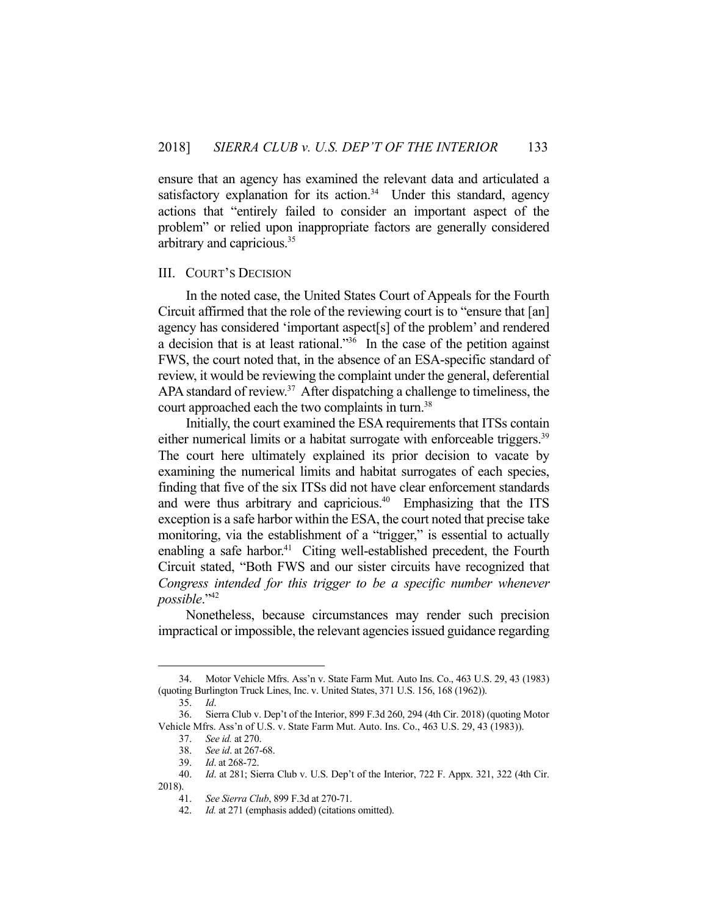ensure that an agency has examined the relevant data and articulated a satisfactory explanation for its action. $34$  Under this standard, agency actions that "entirely failed to consider an important aspect of the problem" or relied upon inappropriate factors are generally considered arbitrary and capricious.35

## III. COURT'S DECISION

 In the noted case, the United States Court of Appeals for the Fourth Circuit affirmed that the role of the reviewing court is to "ensure that [an] agency has considered 'important aspect[s] of the problem' and rendered a decision that is at least rational."36 In the case of the petition against FWS, the court noted that, in the absence of an ESA-specific standard of review, it would be reviewing the complaint under the general, deferential APA standard of review. $37$  After dispatching a challenge to timeliness, the court approached each the two complaints in turn.<sup>38</sup>

 Initially, the court examined the ESA requirements that ITSs contain either numerical limits or a habitat surrogate with enforceable triggers.<sup>39</sup> The court here ultimately explained its prior decision to vacate by examining the numerical limits and habitat surrogates of each species, finding that five of the six ITSs did not have clear enforcement standards and were thus arbitrary and capricious.<sup>40</sup> Emphasizing that the ITS exception is a safe harbor within the ESA, the court noted that precise take monitoring, via the establishment of a "trigger," is essential to actually enabling a safe harbor.<sup>41</sup> Citing well-established precedent, the Fourth Circuit stated, "Both FWS and our sister circuits have recognized that *Congress intended for this trigger to be a specific number whenever possible*."42

 Nonetheless, because circumstances may render such precision impractical or impossible, the relevant agencies issued guidance regarding

 <sup>34.</sup> Motor Vehicle Mfrs. Ass'n v. State Farm Mut. Auto Ins. Co., 463 U.S. 29, 43 (1983) (quoting Burlington Truck Lines, Inc. v. United States, 371 U.S. 156, 168 (1962)).

 <sup>35.</sup> *Id*.

 <sup>36.</sup> Sierra Club v. Dep't of the Interior, 899 F.3d 260, 294 (4th Cir. 2018) (quoting Motor Vehicle Mfrs. Ass'n of U.S. v. State Farm Mut. Auto. Ins. Co., 463 U.S. 29, 43 (1983)).

 <sup>37.</sup> *See id.* at 270.

 <sup>38.</sup> *See id*. at 267-68.

 <sup>39.</sup> *Id*. at 268-72.

 <sup>40.</sup> *Id*. at 281; Sierra Club v. U.S. Dep't of the Interior, 722 F. Appx. 321, 322 (4th Cir. 2018).

 <sup>41.</sup> *See Sierra Club*, 899 F.3d at 270-71.

 <sup>42.</sup> *Id.* at 271 (emphasis added) (citations omitted).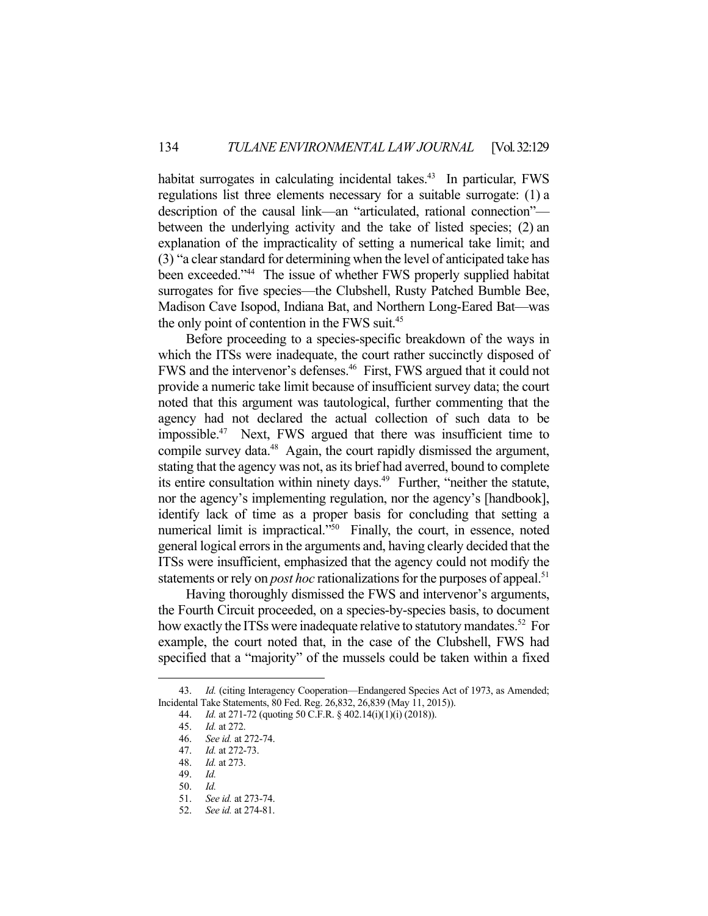habitat surrogates in calculating incidental takes.<sup>43</sup> In particular, FWS regulations list three elements necessary for a suitable surrogate: (1) a description of the causal link—an "articulated, rational connection" between the underlying activity and the take of listed species; (2) an explanation of the impracticality of setting a numerical take limit; and (3) "a clear standard for determining when the level of anticipated take has been exceeded."<sup>44</sup> The issue of whether FWS properly supplied habitat surrogates for five species—the Clubshell, Rusty Patched Bumble Bee, Madison Cave Isopod, Indiana Bat, and Northern Long-Eared Bat—was the only point of contention in the FWS suit.45

 Before proceeding to a species-specific breakdown of the ways in which the ITSs were inadequate, the court rather succinctly disposed of FWS and the intervenor's defenses.46 First, FWS argued that it could not provide a numeric take limit because of insufficient survey data; the court noted that this argument was tautological, further commenting that the agency had not declared the actual collection of such data to be impossible.47 Next, FWS argued that there was insufficient time to compile survey data.<sup>48</sup> Again, the court rapidly dismissed the argument, stating that the agency was not, as its brief had averred, bound to complete its entire consultation within ninety days.<sup>49</sup> Further, "neither the statute, nor the agency's implementing regulation, nor the agency's [handbook], identify lack of time as a proper basis for concluding that setting a numerical limit is impractical."<sup>50</sup> Finally, the court, in essence, noted general logical errors in the arguments and, having clearly decided that the ITSs were insufficient, emphasized that the agency could not modify the statements or rely on *post hoc* rationalizations for the purposes of appeal.<sup>51</sup>

 Having thoroughly dismissed the FWS and intervenor's arguments, the Fourth Circuit proceeded, on a species-by-species basis, to document how exactly the ITSs were inadequate relative to statutory mandates.<sup>52</sup> For example, the court noted that, in the case of the Clubshell, FWS had specified that a "majority" of the mussels could be taken within a fixed

 <sup>43.</sup> *Id.* (citing Interagency Cooperation—Endangered Species Act of 1973, as Amended; Incidental Take Statements, 80 Fed. Reg. 26,832, 26,839 (May 11, 2015)).

 <sup>44.</sup> *Id.* at 271-72 (quoting 50 C.F.R. § 402.14(i)(1)(i) (2018)).

 <sup>45.</sup> *Id.* at 272.

 <sup>46.</sup> *See id.* at 272-74.

 <sup>47.</sup> *Id.* at 272-73.

 <sup>48.</sup> *Id.* at 273.

 <sup>49.</sup> *Id.*

 <sup>50.</sup> *Id.*

 <sup>51.</sup> *See id.* at 273-74.

 <sup>52.</sup> *See id.* at 274-81.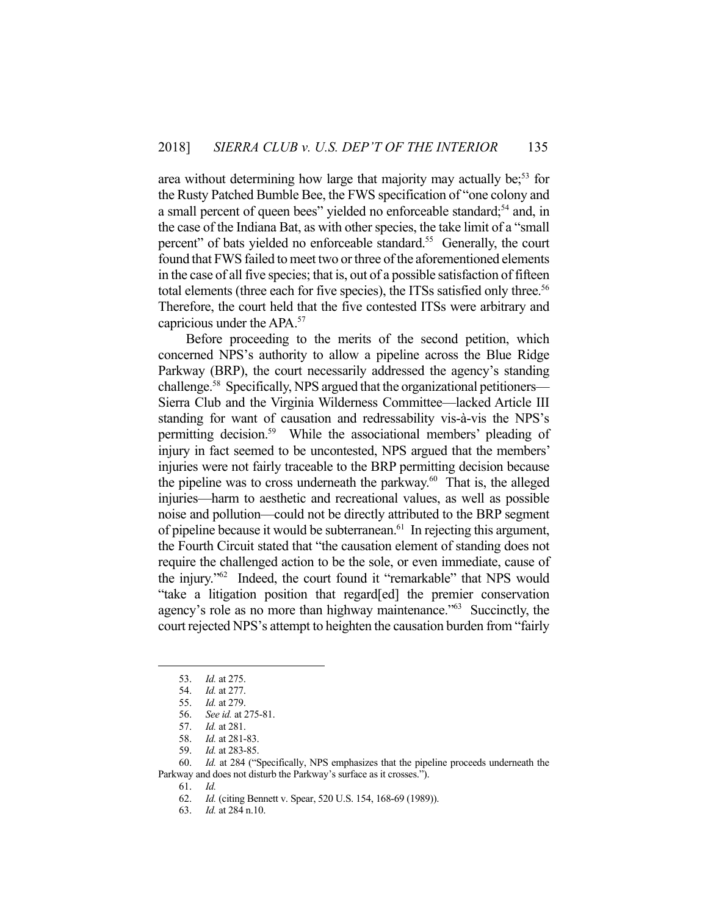area without determining how large that majority may actually be;<sup>53</sup> for the Rusty Patched Bumble Bee, the FWS specification of "one colony and a small percent of queen bees" yielded no enforceable standard;<sup>54</sup> and, in the case of the Indiana Bat, as with other species, the take limit of a "small percent" of bats yielded no enforceable standard.<sup>55</sup> Generally, the court found that FWS failed to meet two or three of the aforementioned elements in the case of all five species; that is, out of a possible satisfaction of fifteen total elements (three each for five species), the ITSs satisfied only three.<sup>56</sup> Therefore, the court held that the five contested ITSs were arbitrary and capricious under the APA.57

 Before proceeding to the merits of the second petition, which concerned NPS's authority to allow a pipeline across the Blue Ridge Parkway (BRP), the court necessarily addressed the agency's standing challenge.<sup>58</sup> Specifically, NPS argued that the organizational petitioners— Sierra Club and the Virginia Wilderness Committee—lacked Article III standing for want of causation and redressability vis-à-vis the NPS's permitting decision.59 While the associational members' pleading of injury in fact seemed to be uncontested, NPS argued that the members' injuries were not fairly traceable to the BRP permitting decision because the pipeline was to cross underneath the parkway.<sup>60</sup> That is, the alleged injuries—harm to aesthetic and recreational values, as well as possible noise and pollution—could not be directly attributed to the BRP segment of pipeline because it would be subterranean.<sup>61</sup> In rejecting this argument, the Fourth Circuit stated that "the causation element of standing does not require the challenged action to be the sole, or even immediate, cause of the injury."62 Indeed, the court found it "remarkable" that NPS would "take a litigation position that regard[ed] the premier conservation agency's role as no more than highway maintenance."63 Succinctly, the court rejected NPS's attempt to heighten the causation burden from "fairly

 <sup>53.</sup> *Id.* at 275.

 <sup>54.</sup> *Id.* at 277.

 <sup>55.</sup> *Id.* at 279.

 <sup>56.</sup> *See id.* at 275-81.

 <sup>57.</sup> *Id.* at 281.

 <sup>58.</sup> *Id.* at 281-83.

 <sup>59.</sup> *Id.* at 283-85.

 <sup>60.</sup> *Id.* at 284 ("Specifically, NPS emphasizes that the pipeline proceeds underneath the Parkway and does not disturb the Parkway's surface as it crosses.").

 <sup>61.</sup> *Id.*

 <sup>62.</sup> *Id.* (citing Bennett v. Spear, 520 U.S. 154, 168-69 (1989)).

 <sup>63.</sup> *Id.* at 284 n.10.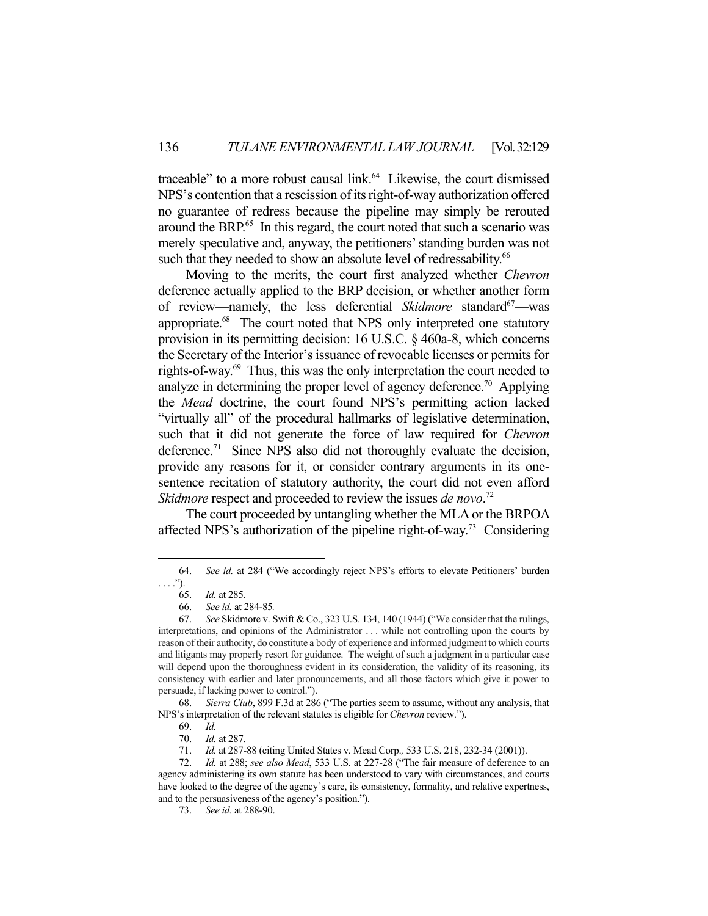traceable" to a more robust causal  $link<sub>64</sub>$  Likewise, the court dismissed NPS's contention that a rescission of its right-of-way authorization offered no guarantee of redress because the pipeline may simply be rerouted around the BRP.<sup>65</sup> In this regard, the court noted that such a scenario was merely speculative and, anyway, the petitioners' standing burden was not such that they needed to show an absolute level of redressability.<sup>66</sup>

 Moving to the merits, the court first analyzed whether *Chevron* deference actually applied to the BRP decision, or whether another form of review—namely, the less deferential *Skidmore* standard<sup>67</sup>—was appropriate.<sup>68</sup> The court noted that NPS only interpreted one statutory provision in its permitting decision: 16 U.S.C. § 460a-8, which concerns the Secretary of the Interior's issuance of revocable licenses or permits for rights-of-way.69 Thus, this was the only interpretation the court needed to analyze in determining the proper level of agency deference.<sup>70</sup> Applying the *Mead* doctrine, the court found NPS's permitting action lacked "virtually all" of the procedural hallmarks of legislative determination, such that it did not generate the force of law required for *Chevron* deference.<sup>71</sup> Since NPS also did not thoroughly evaluate the decision, provide any reasons for it, or consider contrary arguments in its onesentence recitation of statutory authority, the court did not even afford *Skidmore* respect and proceeded to review the issues *de novo*. 72

 The court proceeded by untangling whether the MLA or the BRPOA affected NPS's authorization of the pipeline right-of-way.73 Considering

1

 68. *Sierra Club*, 899 F.3d at 286 ("The parties seem to assume, without any analysis, that NPS's interpretation of the relevant statutes is eligible for *Chevron* review.").

 <sup>64.</sup> *See id.* at 284 ("We accordingly reject NPS's efforts to elevate Petitioners' burden  $\ldots$ ").

 <sup>65.</sup> *Id.* at 285.

 <sup>66.</sup> *See id.* at 284-85*.* 

 <sup>67.</sup> *See* Skidmore v. Swift & Co., 323 U.S. 134, 140 (1944) ("We consider that the rulings, interpretations, and opinions of the Administrator . . . while not controlling upon the courts by reason of their authority, do constitute a body of experience and informed judgment to which courts and litigants may properly resort for guidance. The weight of such a judgment in a particular case will depend upon the thoroughness evident in its consideration, the validity of its reasoning, its consistency with earlier and later pronouncements, and all those factors which give it power to persuade, if lacking power to control.").

 <sup>69.</sup> *Id.* 

 <sup>70.</sup> *Id.* at 287.

 <sup>71.</sup> *Id.* at 287-88 (citing United States v. Mead Corp.*,* 533 U.S. 218, 232-34 (2001)).

 <sup>72.</sup> *Id.* at 288; *see also Mead*, 533 U.S. at 227-28 ("The fair measure of deference to an agency administering its own statute has been understood to vary with circumstances, and courts have looked to the degree of the agency's care, its consistency, formality, and relative expertness, and to the persuasiveness of the agency's position.").

 <sup>73.</sup> *See id.* at 288-90.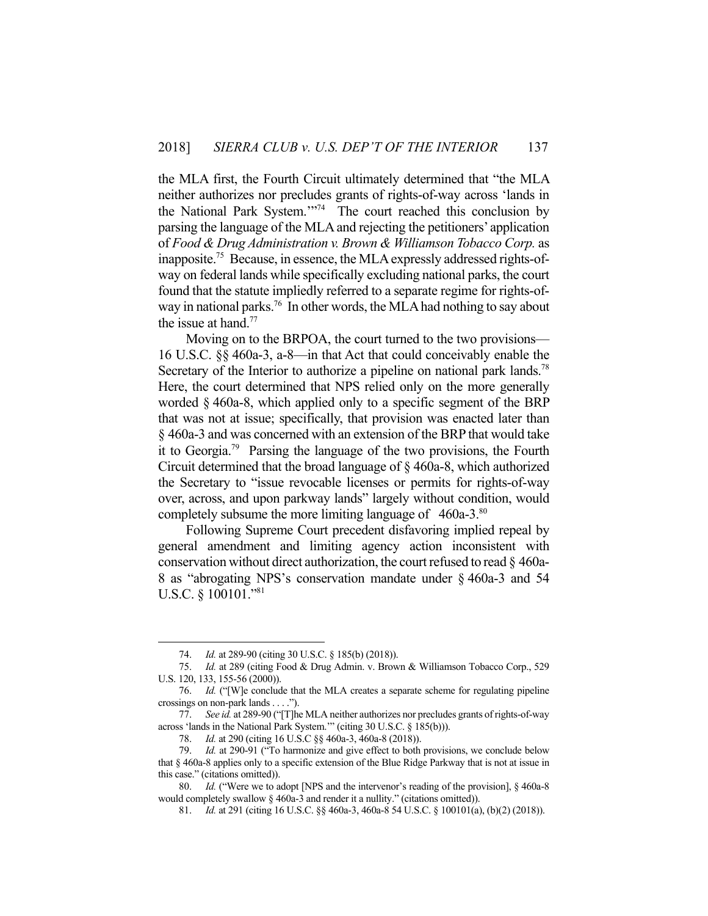the MLA first, the Fourth Circuit ultimately determined that "the MLA neither authorizes nor precludes grants of rights-of-way across 'lands in the National Park System."<sup>74</sup> The court reached this conclusion by parsing the language of the MLA and rejecting the petitioners' application of *Food & Drug Administration v. Brown & Williamson Tobacco Corp.* as inapposite.75 Because, in essence, the MLA expressly addressed rights-ofway on federal lands while specifically excluding national parks, the court found that the statute impliedly referred to a separate regime for rights-ofway in national parks.<sup>76</sup> In other words, the MLA had nothing to say about the issue at hand. $77$ 

 Moving on to the BRPOA, the court turned to the two provisions— 16 U.S.C. §§ 460a-3, a-8—in that Act that could conceivably enable the Secretary of the Interior to authorize a pipeline on national park lands.<sup>78</sup> Here, the court determined that NPS relied only on the more generally worded § 460a-8, which applied only to a specific segment of the BRP that was not at issue; specifically, that provision was enacted later than § 460a-3 and was concerned with an extension of the BRP that would take it to Georgia.<sup>79</sup> Parsing the language of the two provisions, the Fourth Circuit determined that the broad language of § 460a-8, which authorized the Secretary to "issue revocable licenses or permits for rights-of-way over, across, and upon parkway lands" largely without condition, would completely subsume the more limiting language of 460a-3.<sup>80</sup>

 Following Supreme Court precedent disfavoring implied repeal by general amendment and limiting agency action inconsistent with conservation without direct authorization, the court refused to read § 460a-8 as "abrogating NPS's conservation mandate under § 460a-3 and 54 U.S.C. § 100101."81

 <sup>74.</sup> *Id.* at 289-90 (citing 30 U.S.C. § 185(b) (2018)).

 <sup>75.</sup> *Id.* at 289 (citing Food & Drug Admin. v. Brown & Williamson Tobacco Corp., 529 U.S. 120, 133, 155-56 (2000)).

 <sup>76.</sup> *Id.* ("[W]e conclude that the MLA creates a separate scheme for regulating pipeline crossings on non-park lands . . . .").

 <sup>77.</sup> *See id.* at 289-90 ("[T]he MLA neither authorizes nor precludes grants of rights-of-way across 'lands in the National Park System.'" (citing 30 U.S.C. § 185(b))).

 <sup>78.</sup> *Id.* at 290 (citing 16 U.S.C §§ 460a-3, 460a-8 (2018)).

 <sup>79.</sup> *Id.* at 290-91 ("To harmonize and give effect to both provisions, we conclude below that § 460a-8 applies only to a specific extension of the Blue Ridge Parkway that is not at issue in this case." (citations omitted)).

 <sup>80.</sup> *Id.* ("Were we to adopt [NPS and the intervenor's reading of the provision], § 460a-8 would completely swallow § 460a-3 and render it a nullity." (citations omitted)).

 <sup>81.</sup> *Id.* at 291 (citing 16 U.S.C. §§ 460a-3, 460a-8 54 U.S.C. § 100101(a), (b)(2) (2018)).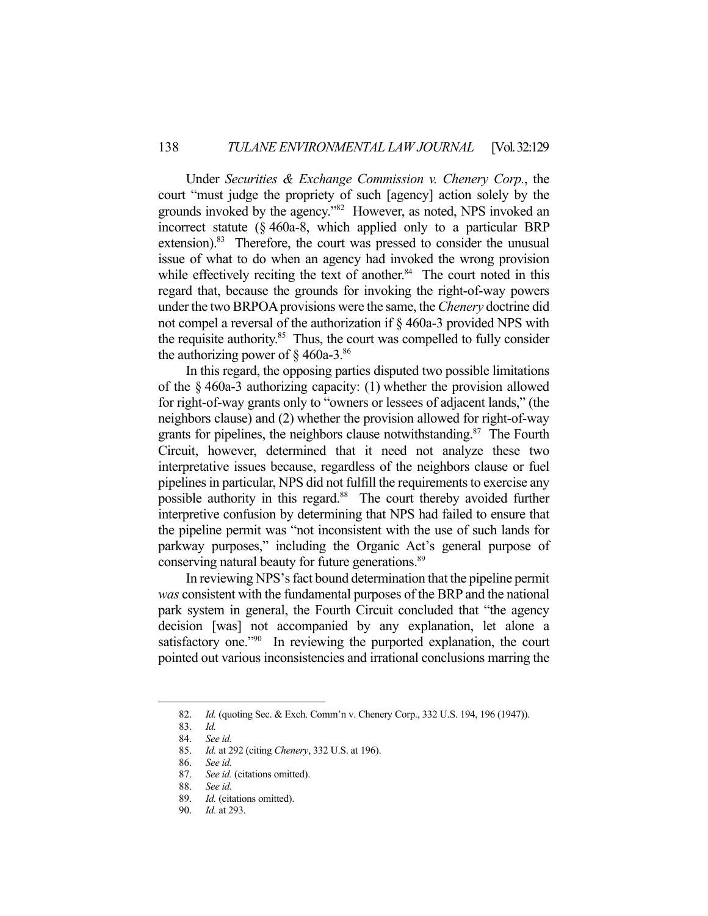Under *Securities & Exchange Commission v. Chenery Corp.*, the court "must judge the propriety of such [agency] action solely by the grounds invoked by the agency."82 However, as noted, NPS invoked an incorrect statute (§ 460a-8, which applied only to a particular BRP extension).<sup>83</sup> Therefore, the court was pressed to consider the unusual issue of what to do when an agency had invoked the wrong provision while effectively reciting the text of another.<sup>84</sup> The court noted in this regard that, because the grounds for invoking the right-of-way powers under the two BRPOA provisions were the same, the *Chenery* doctrine did not compel a reversal of the authorization if § 460a-3 provided NPS with the requisite authority. $85$  Thus, the court was compelled to fully consider the authorizing power of  $\S$  460a-3.<sup>86</sup>

 In this regard, the opposing parties disputed two possible limitations of the § 460a-3 authorizing capacity: (1) whether the provision allowed for right-of-way grants only to "owners or lessees of adjacent lands," (the neighbors clause) and (2) whether the provision allowed for right-of-way grants for pipelines, the neighbors clause notwithstanding.<sup>87</sup> The Fourth Circuit, however, determined that it need not analyze these two interpretative issues because, regardless of the neighbors clause or fuel pipelines in particular, NPS did not fulfill the requirements to exercise any possible authority in this regard.<sup>88</sup> The court thereby avoided further interpretive confusion by determining that NPS had failed to ensure that the pipeline permit was "not inconsistent with the use of such lands for parkway purposes," including the Organic Act's general purpose of conserving natural beauty for future generations.<sup>89</sup>

 In reviewing NPS's fact bound determination that the pipeline permit *was* consistent with the fundamental purposes of the BRP and the national park system in general, the Fourth Circuit concluded that "the agency decision [was] not accompanied by any explanation, let alone a satisfactory one."<sup>90</sup> In reviewing the purported explanation, the court pointed out various inconsistencies and irrational conclusions marring the

 <sup>82.</sup> *Id.* (quoting Sec. & Exch. Comm'n v. Chenery Corp., 332 U.S. 194, 196 (1947)).

 <sup>83.</sup> *Id.*

 <sup>84.</sup> *See id.* 

 <sup>85.</sup> *Id.* at 292 (citing *Chenery*, 332 U.S. at 196).

 <sup>86.</sup> *See id.*

 <sup>87.</sup> *See id.* (citations omitted).

 <sup>88.</sup> *See id.*

 <sup>89.</sup> *Id.* (citations omitted).

 <sup>90.</sup> *Id.* at 293.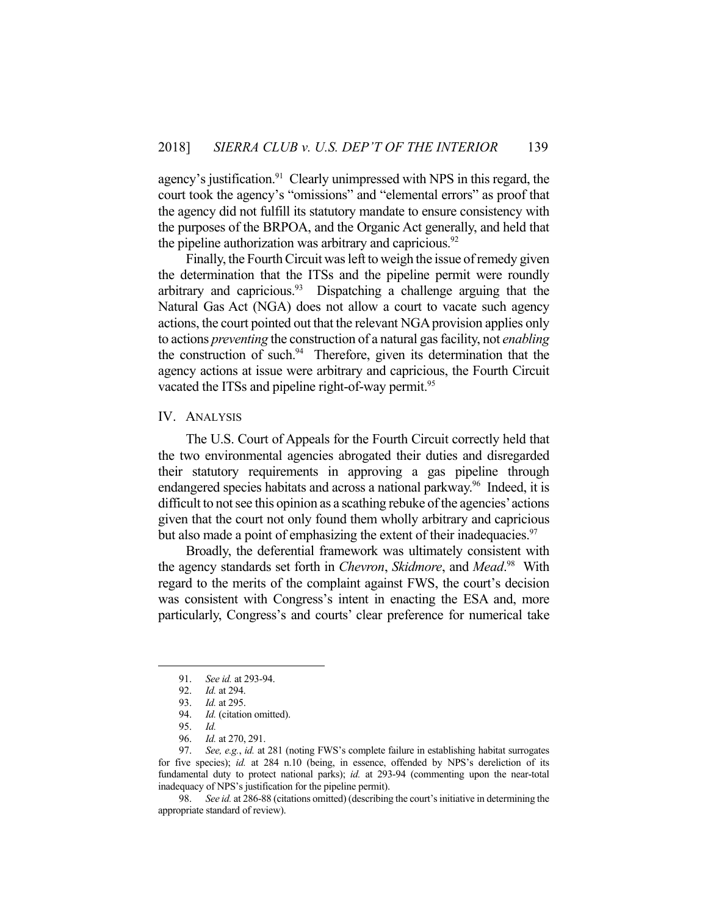agency's justification.<sup>91</sup> Clearly unimpressed with NPS in this regard, the court took the agency's "omissions" and "elemental errors" as proof that the agency did not fulfill its statutory mandate to ensure consistency with the purposes of the BRPOA, and the Organic Act generally, and held that the pipeline authorization was arbitrary and capricious. $92$ 

 Finally, the Fourth Circuit was left to weigh the issue of remedy given the determination that the ITSs and the pipeline permit were roundly arbitrary and capricious. $93$  Dispatching a challenge arguing that the Natural Gas Act (NGA) does not allow a court to vacate such agency actions, the court pointed out that the relevant NGA provision applies only to actions *preventing* the construction of a natural gas facility, not *enabling* the construction of such. $94$  Therefore, given its determination that the agency actions at issue were arbitrary and capricious, the Fourth Circuit vacated the ITSs and pipeline right-of-way permit.<sup>95</sup>

# IV. ANALYSIS

 The U.S. Court of Appeals for the Fourth Circuit correctly held that the two environmental agencies abrogated their duties and disregarded their statutory requirements in approving a gas pipeline through endangered species habitats and across a national parkway.<sup>96</sup> Indeed, it is difficult to not see this opinion as a scathing rebuke of the agencies' actions given that the court not only found them wholly arbitrary and capricious but also made a point of emphasizing the extent of their inadequacies.<sup>97</sup>

 Broadly, the deferential framework was ultimately consistent with the agency standards set forth in *Chevron*, *Skidmore*, and *Mead*. 98 With regard to the merits of the complaint against FWS, the court's decision was consistent with Congress's intent in enacting the ESA and, more particularly, Congress's and courts' clear preference for numerical take

1

 98. *See id.* at 286-88 (citations omitted) (describing the court's initiative in determining the appropriate standard of review).

 <sup>91.</sup> *See id.* at 293-94.

 <sup>92.</sup> *Id.* at 294.

 <sup>93.</sup> *Id.* at 295.

 <sup>94.</sup> *Id.* (citation omitted).

 <sup>95.</sup> *Id.*

 <sup>96.</sup> *Id.* at 270, 291.

 <sup>97.</sup> *See, e.g.*, *id.* at 281 (noting FWS's complete failure in establishing habitat surrogates for five species); *id.* at 284 n.10 (being, in essence, offended by NPS's dereliction of its fundamental duty to protect national parks); *id.* at 293-94 (commenting upon the near-total inadequacy of NPS's justification for the pipeline permit).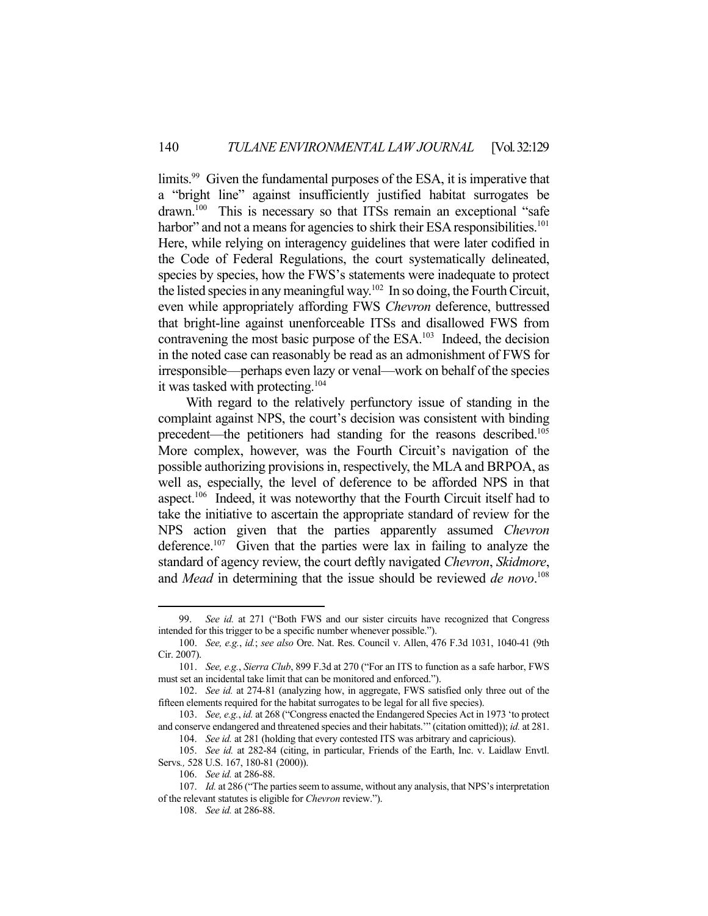limits.<sup>99</sup> Given the fundamental purposes of the ESA, it is imperative that a "bright line" against insufficiently justified habitat surrogates be drawn.<sup>100</sup> This is necessary so that ITSs remain an exceptional "safe harbor" and not a means for agencies to shirk their ESA responsibilities.<sup>101</sup> Here, while relying on interagency guidelines that were later codified in the Code of Federal Regulations, the court systematically delineated, species by species, how the FWS's statements were inadequate to protect the listed species in any meaningful way.102 In so doing, the Fourth Circuit, even while appropriately affording FWS *Chevron* deference, buttressed that bright-line against unenforceable ITSs and disallowed FWS from contravening the most basic purpose of the ESA.<sup>103</sup> Indeed, the decision in the noted case can reasonably be read as an admonishment of FWS for irresponsible—perhaps even lazy or venal—work on behalf of the species it was tasked with protecting.<sup>104</sup>

 With regard to the relatively perfunctory issue of standing in the complaint against NPS, the court's decision was consistent with binding precedent—the petitioners had standing for the reasons described.<sup>105</sup> More complex, however, was the Fourth Circuit's navigation of the possible authorizing provisions in, respectively, the MLA and BRPOA, as well as, especially, the level of deference to be afforded NPS in that aspect.<sup>106</sup> Indeed, it was noteworthy that the Fourth Circuit itself had to take the initiative to ascertain the appropriate standard of review for the NPS action given that the parties apparently assumed *Chevron* deference.<sup>107</sup> Given that the parties were lax in failing to analyze the standard of agency review, the court deftly navigated *Chevron*, *Skidmore*, and *Mead* in determining that the issue should be reviewed *de novo*. 108

 <sup>99.</sup> *See id.* at 271 ("Both FWS and our sister circuits have recognized that Congress intended for this trigger to be a specific number whenever possible.").

 <sup>100.</sup> *See, e.g.*, *id.*; *see also* Ore. Nat. Res. Council v. Allen, 476 F.3d 1031, 1040-41 (9th Cir. 2007).

 <sup>101.</sup> *See, e.g.*, *Sierra Club*, 899 F.3d at 270 ("For an ITS to function as a safe harbor, FWS must set an incidental take limit that can be monitored and enforced.").

 <sup>102.</sup> *See id.* at 274-81 (analyzing how, in aggregate, FWS satisfied only three out of the fifteen elements required for the habitat surrogates to be legal for all five species).

 <sup>103.</sup> *See, e.g.*, *id.* at 268 ("Congress enacted the Endangered Species Act in 1973 'to protect and conserve endangered and threatened species and their habitats.'" (citation omitted)); *id.* at 281. 104. *See id.* at 281 (holding that every contested ITS was arbitrary and capricious).

 <sup>105.</sup> *See id.* at 282-84 (citing, in particular, Friends of the Earth, Inc. v. Laidlaw Envtl. Servs*.,* 528 U.S. 167, 180-81 (2000)).

 <sup>106.</sup> *See id.* at 286-88.

 <sup>107.</sup> *Id.* at 286 ("The parties seem to assume, without any analysis, that NPS's interpretation of the relevant statutes is eligible for *Chevron* review.").

 <sup>108.</sup> *See id.* at 286-88.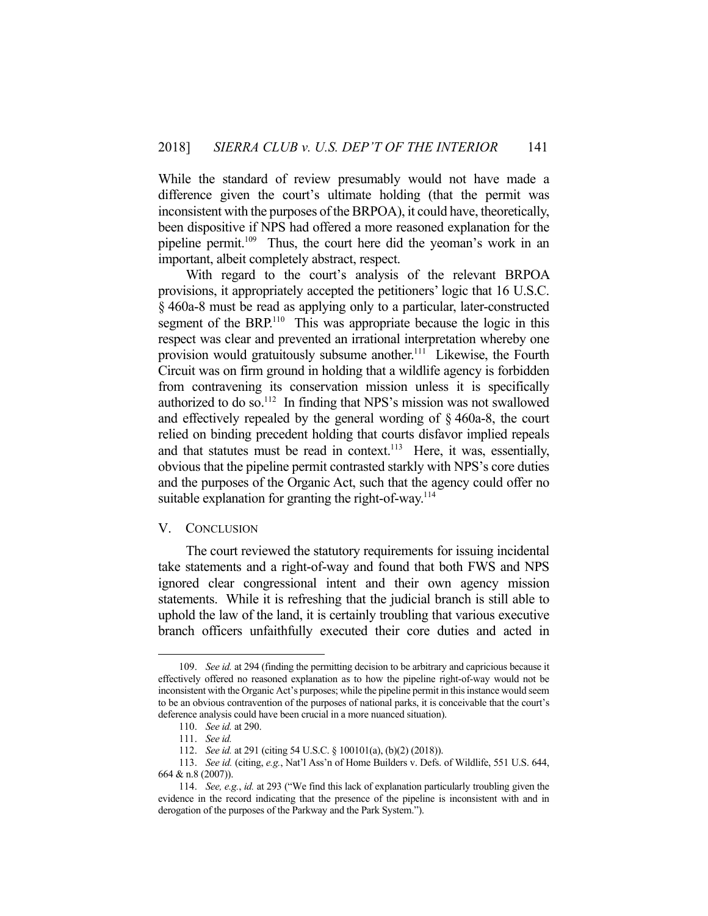While the standard of review presumably would not have made a difference given the court's ultimate holding (that the permit was inconsistent with the purposes of the BRPOA), it could have, theoretically, been dispositive if NPS had offered a more reasoned explanation for the pipeline permit.<sup>109</sup> Thus, the court here did the yeoman's work in an important, albeit completely abstract, respect.

 With regard to the court's analysis of the relevant BRPOA provisions, it appropriately accepted the petitioners' logic that 16 U.S.C. § 460a-8 must be read as applying only to a particular, later-constructed segment of the BRP.<sup>110</sup> This was appropriate because the logic in this respect was clear and prevented an irrational interpretation whereby one provision would gratuitously subsume another.<sup>111</sup> Likewise, the Fourth Circuit was on firm ground in holding that a wildlife agency is forbidden from contravening its conservation mission unless it is specifically authorized to do so.<sup>112</sup> In finding that NPS's mission was not swallowed and effectively repealed by the general wording of § 460a-8, the court relied on binding precedent holding that courts disfavor implied repeals and that statutes must be read in context.<sup>113</sup> Here, it was, essentially, obvious that the pipeline permit contrasted starkly with NPS's core duties and the purposes of the Organic Act, such that the agency could offer no suitable explanation for granting the right-of-way.<sup>114</sup>

#### V. CONCLUSION

 The court reviewed the statutory requirements for issuing incidental take statements and a right-of-way and found that both FWS and NPS ignored clear congressional intent and their own agency mission statements. While it is refreshing that the judicial branch is still able to uphold the law of the land, it is certainly troubling that various executive branch officers unfaithfully executed their core duties and acted in

<u>.</u>

 <sup>109.</sup> *See id.* at 294 (finding the permitting decision to be arbitrary and capricious because it effectively offered no reasoned explanation as to how the pipeline right-of-way would not be inconsistent with the Organic Act's purposes; while the pipeline permit in this instance would seem to be an obvious contravention of the purposes of national parks, it is conceivable that the court's deference analysis could have been crucial in a more nuanced situation).

 <sup>110.</sup> *See id.* at 290.

 <sup>111.</sup> *See id.* 

 <sup>112.</sup> *See id.* at 291 (citing 54 U.S.C. § 100101(a), (b)(2) (2018)).

 <sup>113.</sup> *See id.* (citing, *e.g.*, Nat'l Ass'n of Home Builders v. Defs. of Wildlife, 551 U.S. 644, 664 & n.8 (2007)).

 <sup>114.</sup> *See, e.g.*, *id.* at 293 ("We find this lack of explanation particularly troubling given the evidence in the record indicating that the presence of the pipeline is inconsistent with and in derogation of the purposes of the Parkway and the Park System.").